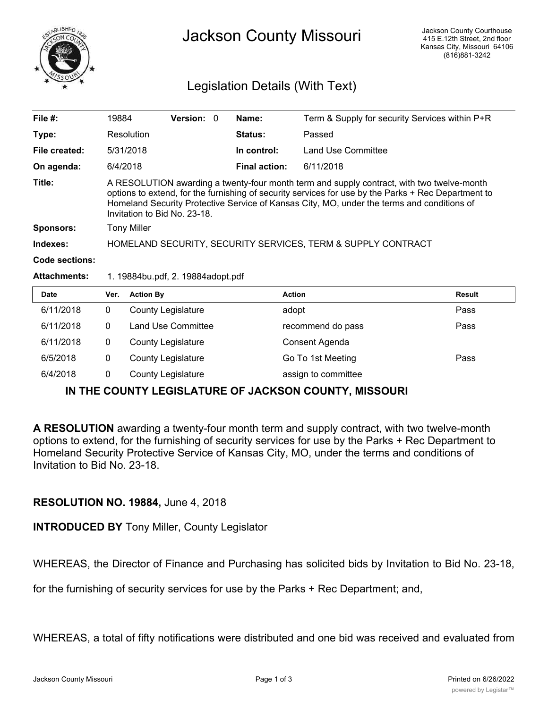

## Legislation Details (With Text)

| File $#$ :          | 19884                                                                                                                                                                                                                                                                                                                          |                           | <b>Version: 0</b> |  | Name:                | Term & Supply for security Services within P+R |        |
|---------------------|--------------------------------------------------------------------------------------------------------------------------------------------------------------------------------------------------------------------------------------------------------------------------------------------------------------------------------|---------------------------|-------------------|--|----------------------|------------------------------------------------|--------|
| Type:               |                                                                                                                                                                                                                                                                                                                                | Resolution                |                   |  | <b>Status:</b>       | Passed                                         |        |
| File created:       |                                                                                                                                                                                                                                                                                                                                | 5/31/2018                 |                   |  | In control:          | Land Use Committee                             |        |
| On agenda:          | 6/4/2018                                                                                                                                                                                                                                                                                                                       |                           |                   |  | <b>Final action:</b> | 6/11/2018                                      |        |
| Title:              | A RESOLUTION awarding a twenty-four month term and supply contract, with two twelve-month<br>options to extend, for the furnishing of security services for use by the Parks + Rec Department to<br>Homeland Security Protective Service of Kansas City, MO, under the terms and conditions of<br>Invitation to Bid No. 23-18. |                           |                   |  |                      |                                                |        |
| <b>Sponsors:</b>    | <b>Tony Miller</b>                                                                                                                                                                                                                                                                                                             |                           |                   |  |                      |                                                |        |
| Indexes:            | HOMELAND SECURITY, SECURITY SERVICES, TERM & SUPPLY CONTRACT                                                                                                                                                                                                                                                                   |                           |                   |  |                      |                                                |        |
| Code sections:      |                                                                                                                                                                                                                                                                                                                                |                           |                   |  |                      |                                                |        |
| <b>Attachments:</b> | 1. 19884bu.pdf, 2. 19884adopt.pdf                                                                                                                                                                                                                                                                                              |                           |                   |  |                      |                                                |        |
| Date                | Ver.                                                                                                                                                                                                                                                                                                                           | <b>Action By</b>          |                   |  |                      | <b>Action</b>                                  | Result |
| 6/11/2018           | 0                                                                                                                                                                                                                                                                                                                              | <b>County Legislature</b> |                   |  |                      | adopt                                          | Pass   |
| 6/11/2018           | $\mathbf{0}$                                                                                                                                                                                                                                                                                                                   | Land Use Committee        |                   |  |                      | recommend do pass                              | Pass   |

| 6/11/2018 | County Legislature | Consent Agenda      |      |
|-----------|--------------------|---------------------|------|
| 6/5/2018  | County Legislature | Go To 1st Meeting   | Pass |
| 6/4/2018  | County Legislature | assign to committee |      |

## **IN THE COUNTY LEGISLATURE OF JACKSON COUNTY, MISSOURI**

**A RESOLUTION** awarding a twenty-four month term and supply contract, with two twelve-month options to extend, for the furnishing of security services for use by the Parks + Rec Department to Homeland Security Protective Service of Kansas City, MO, under the terms and conditions of Invitation to Bid No. 23-18.

## **RESOLUTION NO. 19884,** June 4, 2018

**INTRODUCED BY** Tony Miller, County Legislator

WHEREAS, the Director of Finance and Purchasing has solicited bids by Invitation to Bid No. 23-18,

for the furnishing of security services for use by the Parks + Rec Department; and,

WHEREAS, a total of fifty notifications were distributed and one bid was received and evaluated from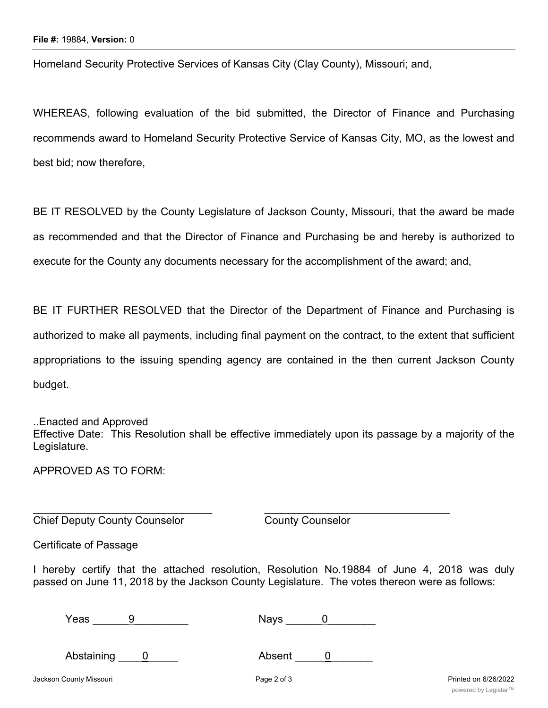Homeland Security Protective Services of Kansas City (Clay County), Missouri; and,

WHEREAS, following evaluation of the bid submitted, the Director of Finance and Purchasing recommends award to Homeland Security Protective Service of Kansas City, MO, as the lowest and best bid; now therefore,

BE IT RESOLVED by the County Legislature of Jackson County, Missouri, that the award be made as recommended and that the Director of Finance and Purchasing be and hereby is authorized to execute for the County any documents necessary for the accomplishment of the award; and,

BE IT FURTHER RESOLVED that the Director of the Department of Finance and Purchasing is authorized to make all payments, including final payment on the contract, to the extent that sufficient appropriations to the issuing spending agency are contained in the then current Jackson County budget.

## ..Enacted and Approved

Effective Date: This Resolution shall be effective immediately upon its passage by a majority of the Legislature.

APPROVED AS TO FORM:

Chief Deputy County Counselor **County County Counselor** 

Certificate of Passage

I hereby certify that the attached resolution, Resolution No.19884 of June 4, 2018 was duly passed on June 11, 2018 by the Jackson County Legislature. The votes thereon were as follows:

| Yeas | Nays |  |
|------|------|--|
|      |      |  |

 $\overline{\phantom{a}}$  , and the contribution of the contribution of  $\overline{\phantom{a}}$  , and  $\overline{\phantom{a}}$  , and  $\overline{\phantom{a}}$  , and  $\overline{\phantom{a}}$  , and  $\overline{\phantom{a}}$  , and  $\overline{\phantom{a}}$  , and  $\overline{\phantom{a}}$  , and  $\overline{\phantom{a}}$  , and  $\overline{\phantom{a}}$  , and

Abstaining 0 Absent 0